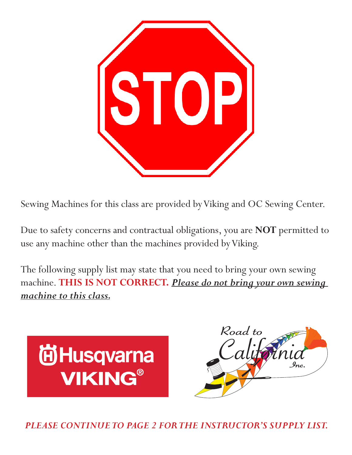

Sewing Machines for this class are provided by Viking and OC Sewing Center.

Due to safety concerns and contractual obligations, you are **NOT** permitted to use any machine other than the machines provided by Viking.

The following supply list may state that you need to bring your own sewing machine. **THIS IS NOT CORRECT.** *Please do not bring your own sewing machine to this class.*





*PLEASE CONTINUE TO PAGE 2 FOR THE INSTRUCTOR'S SUPPLY LIST.*